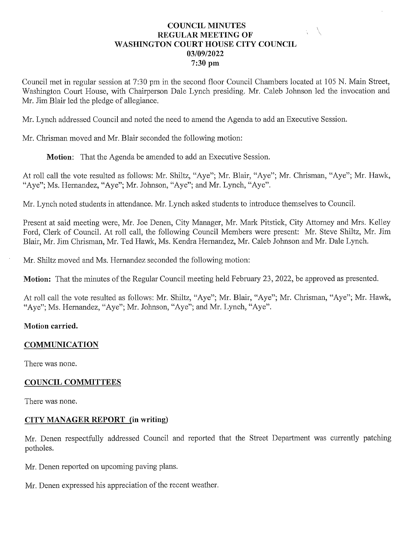#### **COUNCIL MINUTES** REGULAR MEETING OF WASHINGTON COURT HOUSE CITY COUNCIL 03/09/2022 7:30 pm

Council met in regular session at 7:30 pm in the second floor Council Chambers located at 105 N. Main Street, Washington Court House, with Chairperson Dale Lynch presiding. Mr. Caleb Johnson led the invocation and Mr. Jim Blair led the pledge of allegiance.

Mr. Lynch addressed Council and noted the need to amend the Agenda to add an Executive Session.

Mr. Chrisman moved and Mr. Blair seconded the following motion:

**Motion:** That the Agenda be amended to add an Executive Session.

At roll call the vote resulted as follows: Mr. Shiltz, "Aye"; Mr. Blair, "Aye"; Mr. Chrisman, "Aye"; Mr. Hawk, "Aye"; Ms. Hernandez, "Aye"; Mr. Johnson, "Aye"; and Mr. Lynch, "Aye".

Mr. Lynch noted students in attendance. Mr. Lynch asked students to introduce themselves to Council.

Present at said meeting were, Mr. Joe Denen, City Manager, Mr. Mark Pitstick, City Attorney and Mrs. Kelley Ford, Clerk of Council. At roll call, the following Council Members were present: Mr. Steve Shiltz, Mr. Jim Blair, Mr. Jim Chrisman, Mr. Ted Hawk, Ms. Kendra Hernandez, Mr. Caleb Johnson and Mr. Dale Lynch.

Mr. Shiltz moved and Ms. Hernandez seconded the following motion:

Motion: That the minutes of the Regular Council meeting held February 23, 2022, be approved as presented.

At roll call the vote resulted as follows: Mr. Shiltz, "Aye"; Mr. Blair, "Aye"; Mr. Chrisman, "Aye"; Mr. Hawk, "Aye"; Ms. Hernandez, "Aye"; Mr. Johnson, "Aye"; and Mr. Lynch, "Aye".

#### Motion carried.

#### **COMMUNICATION**

There was none.

#### COUNCIL COMMITTEES

There was none.

#### CITY MANAGER REPORT (in writing)

Mr. Denen respectfully addressed Council and reported that the Street Department was currently patching potholes.

Mr. Denen reported on upcoming paving plans.

Mr. Denen expressed his appreciation of the recent weather.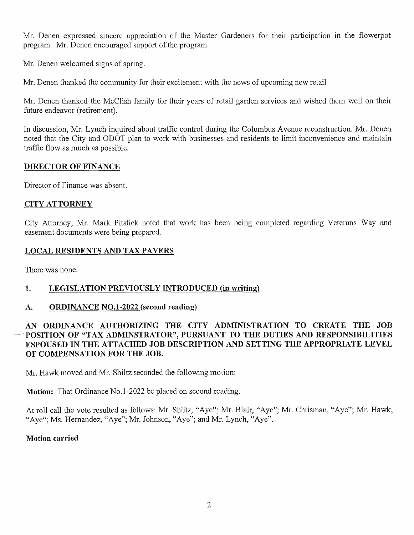Mr. Denen expressed sincere appreciation of the Master Gardeners for their participation in the flowerpot program. Mr. Denen encouraged support of the program.

Mr. Denen welcomed signs of spring.

Mr. Denen thanked the community for their excitement with the news of upcoming new retail

Mr. Denen thanked the McClish family for their years of retail garden services and wished them well on their future endeavor (retirement).

In discussion, Mr. Lynch inquired about traffic control during the Columbus Avenue reconstruction. Mr. Denen noted that the City and ODOT plan to work with businesses and residents to limit inconvenience and maintain traffic flow as much as possible.

#### DIRECTOR OF FINANCE

Director of Finance was absent.

#### CITYATTORNEY

City Attorney, Mr. Mark Pitstick noted that work has been being completed regarding Veterans Way and easement documents were being prepared.

#### LOCAL RESIDENTS AND TAX PAYERS

There was none.

#### 1. LEGISLATION PREVIOUSLY INTRODUCED (in writing)

#### A. ORDINANCE NO.1-2022 (second reading)

#### AN ORDINANCE AUTHORIZING THE CITY ADMINISTRATION TO CREATE THE JOB AN ORDINANCE AUTHORIZING THE CITY ADMINISTRATION TO CREATE THE JOB<br>POSITION OF "TAX ADMINSTRATOR", PURSUANT TO THE DUTIES AND RESPONSIBILITIES POSITION OF "TAX ADMINSTRATOR", PURSUANT TO THE DUTIES AND RESPONSIBILITIES<br>ESPOUSED IN THE ATTACHED JOB DESCRIPTION AND SETTING THE APPROPRIATE LEVEL ESPOUSED IN THE ATTACHED JOB DESCRIPTION AND SETTING THE APPROPRIATE LEVEL OF COMPENSATION FOR THE JOB.

Mr. Hawk moved and Mr. Shiltz seconded the following motion:

**Motion:** That Ordinance No.1-2022 be placed on second reading.

At roll call the vote resulted as follows: Mr. Shiltz, "Aye"; Mr. Blair, "Aye"; Mr. Chrisman, "Aye"; Mr. Hawk, "Aye": Ms. Hernandez, "Aye"; Mr. Johnson, "Aye"; and Mr. Lynch, "Aye".

#### Motion carried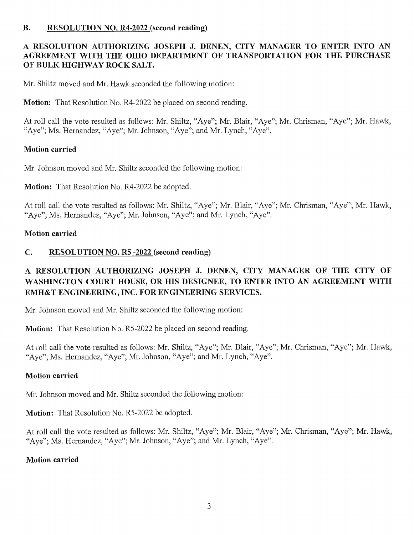#### B. RESOLUTION NO. R4-2022 (second reading)

# RESOLUTION AUTHORIZING JOSEPH J. DENEN, CITY MANAGER TO ENTER INTO AN A RESOLUTION AUTHORIZING JOSEPH J. DENEN, CITY MANAGER TO ENTER INTO AN<br>AGREEMENT WITH THE OHIO DEPARTMENT OF TRANSPORTATION FOR THE PURCHASE AGREEMENT WITH THE OHIO DEPARTMENT OF TRANSPORTATION FOR THE PURCHASE<br>OF BULK HIGHWAY ROCK SALT.

Mr. Shiltz moved and Mr. Hawk seconded the following motion:

Motion: That Resolution No. R4-2022 be placed on second reading.

At roll call the vote resulted as follows: Mr. Shiltz, "Aye"; Mr. Blair, "Aye"; Mr. Chrisman, "Aye"; Mr. Hawk, "Aye"; Ms. Hernandez, "Aye"; Mr. Johnson, "Aye"; and Mr. Lynch, "Aye".

#### Motion carried

Mr. Johnson moved and Mr. Shiltz seconded the following motion:

Motion: That Resolution No. R4-2022 be adopted.

At roll call the vote resulted as follows: Mr. Shiltz, "Aye"; Mr. Blair, "Aye"; Mr. Chrisman, "Aye"; Mr. Hawk, "Aye"; Ms. Hernandez, "Aye"; Mr. Johnson, "Aye"; and Mr. Lynch, "Aye".

#### Motion carried

#### C. RESOLUTION NO. R5 -2022 (second reading)

# RESOLUTION AUTHORIZING JOSEPH J. DENEN, CITY MANAGER OF THE CITY OF A RESOLUTION AUTHORIZING JOSEPH J. DENEN, CITY MANAGER OF THE CITY OF WASHINGTON COURT HOUSE, OR HIS DESIGNEE, TO ENTER INTO AN AGREEMENT WITH WASHINGTON COURT HOUSE, OR HIS DESIGNEE, TO ENTER INTO AN AGREEMENT WITH<br>EMH&T ENGINEERING, INC. FOR ENGINEERING SERVICES.

Mr. Johnson moved and Mr. Shiltz seconded the following motion:

Motion: That Resolution No. R5-2022 be placed on second reading.

At roll call the vote resulted as follows: Mr. Shiltz, "Aye"; Mr. Blair, "Aye"; Mr. Chrisman, "Aye"; Mr. Hawk, "Aye"; Ms. Hernandez, "Aye"; Mr. Johnson, "Aye"; and Mr. Lynch, "Aye".

#### Motion carried

Mr. Johnson moved and Mr. Shiltz seconded the following motion:

**Motion:** That Resolution No. R5-2022 be adopted.

At roll call the vote resulted as follows: Mr. Shiltz, "Aye"; Mr. Blair, "Aye"; Mr. Chrisman, "Aye"; Mr. Hawk, "Aye"; Ms. Hernandez, "Aye"; Mr. Johnson, "Aye"; and Mr. Lynch, "Aye".

#### Motion carried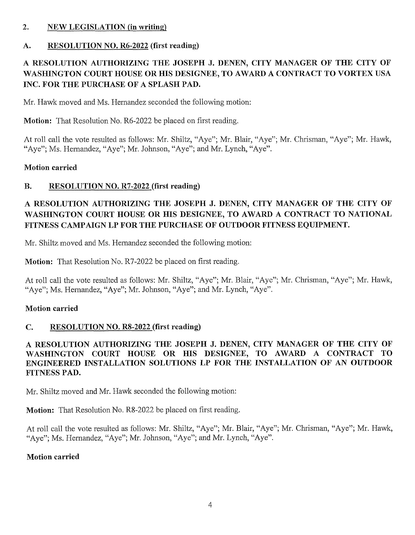#### 2. NEW LEGISLATION (in writing)

#### A. RESOLUTION NO. R6-2022 (first reading)

### RESOLUTION AUTHORIZING THE JOSEPH J. DENEN, CITY MANAGER OF THE CITY OF A RESOLUTION AUTHORIZING THE JOSEPH J. DENEN, CITY MANAGER OF THE CITY OF WASHINGTON COURT HOUSE OR HIS DESIGNEE, TO AWARD A CONTRACT TO VORTEX USA WASHINGTON COURT HOUSE OR HIS DESIG<br>INC. FOR THE PURCHASE OF A SPLASH PAD.

Mr. Hawk moved and Ms. Hernandez seconded the following motion:

Motion: That Resolution No. R6-2022 be placed on first reading.

At roll call the vote resulted as follows: Mr. Shiltz, "Aye"; Mr. Blair, "Aye"; Mr. Chrisman, "Aye"; Mr. Hawk, "Aye"; Ms. Hernandez, "Aye"; Mr. Johnson, "Aye"; and Mr. Lynch, "Aye".

#### Motion carried

#### B. RESOLUTION NO. R7-2022 (first reading)

### RESOLUTION AUTHORIZING THE JOSEPH J. DENEN, CITY MANAGER OF THE CITY OF A RESOLUTION AUTHORIZING THE JOSEPH J. DENEN, CITY MANAGER OF THE CITY OF WASHINGTON COURT HOUSE OR HIS DESIGNEE, TO AWARD A CONTRACT TO NATIONAL WASHINGTON COURT HOUSE OR HIS DESIGNEE, TO AWARD A CONTRACT TO <mark>E</mark><br>FITNESS CAMPAIGN LP FOR THE PURCHASE OF OUTDOOR FITNESS EQUIPMENT.

Mr. Shiltz moved and Ms. Hernandez seconded the following motion:

Motion: That Resolution No. R7-2022 be placed on first reading.

At roll call the vote resulted as follows: Mr. Shiltz, "Aye": Mr. Blair, "Aye": Mr. Chrisman, "Aye"; Mr. Hawk, "Aye"; Ms. Hernandez, "Aye"; Mr. Johnson, "Aye"; and Mr. Lynch, "Aye".

#### Motion carried

#### C. RESOLUTION NO. R8-2022 (first reading)

RESOLUTION AUTHORIZING THE JOSEPH J. DENEN, CITY MANAGER OF THE CITY OF A RESOLUTION AUTHORIZING THE JOSEPH J. DENEN, CITY MANAGER OF THE CITY OF WASHINGTON COURT HOUSE OR HIS DESIGNEE, TO AWARD A CONTRACT TO WASHINGTON COURT HOUSE OR HIS DESIGNEE, TO AWARD A CONTRACT TO<br>ENGINEERED INSTALLATION SOLUTIONS LP FOR THE INSTALLATION OF AN OUTDOOR ENGINEERED INSTALLATION SOLUTIONS LP FOR THE INSTALLATION OF AN OUTDOOR FITNESS PAD.

Mr. Shiltz moved and Mr. Hawk seconded the following motion:

Motion: That Resolution No. R8-2022 be placed on first reading.

At roll call the vote resulted as follows: Mr. Shiltz, "Aye"; Mr. Blair, "Aye"; Mr. Chrisman, "Aye"; Mr. Hawk, "Aye": Ms. Hernandez, "Aye"; Mr. Johnson, "Aye"; and Mr. Lynch, "Aye".

#### Motion carried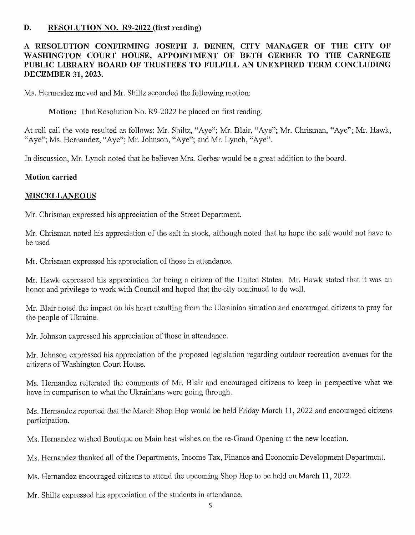#### D. RESOLUTION NO. R9-2022 (first reading)

# RESOLUTION CONFIRMING JOSEPH J. DENEN, CITY MANAGER OF THE CITY OF A RESOLUTION CONFIRMING JOSEPH J. DENEN, CITY MANAGER OF THE CITY OF WASHINGTON COURT HOUSE, APPOINTMENT OF BETH GERBER TO THE CARNEGIE WASHINGTON COURT HOUSE, APPOINTMENT OF BETH GERBER TO THE CARNEGIE<br>PUBLIC LIBRARY BOARD OF TRUSTEES TO FULFILL AN UNEXPIRED TERM CONCLUDING PUBLIC LIBRARY B<br>DECEMBER 31, 20<mark>23</mark>.

Ms. Hernandez moved and Mr. Shiltz seconded the following motion:

Motion: That Resolution No. R9-2022 be placed on first reading.

At roll call the vote resulted as follows: Mr. Shiltz, "Aye"; Mr. Blair, "Aye"; Mr. Chrisman, "Aye"; Mr. Hawk, "Aye"; Ms. Hernandez, "Aye"; Mr. Johnson, "Aye"; and Mr. Lynch, "Aye".

In discussion, Mr. Lynch noted that he believes Mrs. Gerber would be a great addition to the board.

#### Motion carried

#### MISCELLANEOUS

Mr. Chrisman expressed his appreciation of the Street Department.

Mr. Chrisman noted his appreciation of the salt in stock, although noted that he hope the salt would not have to be used

Mr. Chrisman expressed his appreciation of those in attendance.

Mr. Hawk expressed his appreciation for being a citizen of the United States. Mr. Hawk stated that it was an honor and privilege to work with Council and hoped that the city continued to do well.

Mr. Blair noted the impact on his heart resulting from the Ukrainian situation and encouraged citizens to pray for the people of Ukraine.

Mr. Johnson expressed his appreciation of those in attendance.

Mr. Johnson expressed his appreciation of the proposed legislation regarding outdoor recreation avenues for the citizens of Washington Court House.

Ms. Hernandez reiterated the comments of Mr. Blair and encouraged citizens to keep in perspective what we have in comparison to what the Ukrainians were going through.

Ms. Hernandez reported that the March Shop Hop would be held Friday March 11, 2022 and encouraged citizens participation.

Ms. Hernandez wished Boutique on Main best wishes on the re-Grand Opening at the new location.

Ms. Hernandez thanked all of the Departments, Income Tax, Finance and Economic Development Department.

Ms. Hernandez encouraged citizens to attend the upcoming Shop Hop to be held on March 11, 2022.

Mr. Shiltz expressed his appreciation of the students in attendance.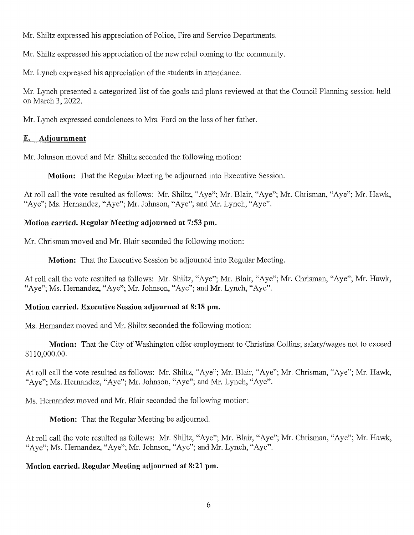Mr. Shiltz expressed his appreciation of Police, Fire and Service Departments.

Mr. Shiltz expressed his appreciation of the new retail coming to the community.

Mr. Lynch expressed his appreciation of the students in attendance.

Mr. Lynch presented a categorized list of the goals and plans reviewed at that the Council Planning session held onMarch 3, 2022.

Mr. Lynch expressed condolences to Mrs. Ford on the loss of her father.

#### E. Adjournment

Mr. Johnson moved and Mr. Shiltz seconded the following motion:

Motion: That the Regular Meeting be adjourned into Executive Session.

At roll call the vote resulted as follows: Mr. Shiltz, "Aye"; Mr. Blair, "Aye"; Mr. Chrisman, "Aye"; Mr. Hawk, "Aye"; Ms. Hernandez, "Aye"; Mr. Johnson, "Aye"; and Mr. Lynch, "Aye".

#### Motion carried. Regular Meeting adjourned at 7:53 pm.

Mr. Chrisman moved and Mr. Blair seconded the following motion:

Motion: That the Executive Session be adjourned into Regular Meeting.

At roll call the vote resulted as follows: Mr. Shiltz, "Aye"; Mr. Blair, "Aye"; Mr. Chrisman, "Aye"; Mr. Hawk, "Aye"; Ms. Hernandez, "Aye"; Mr. Johnson, "Aye"; and Mr. Lynch, "Aye".

#### Motion carried. Executive Session adjourned at 8:18 pm.

Ms. Hernandez moved and Mr. Shiltz seconded the following motion:

**Motion:** That the City of Washington offer employment to Christina Collins; salary/wages not to exceed \$110,000.00.

At roll call the vote resulted as follows: Mr. Shiltz, "Aye"; Mr. Blair, "Aye"; Mr. Chrisman, "Aye"; Mr. Hawk, "Aye"; Ms. Hernandez, "Aye"; Mr. Johnson, "Aye"; and Mr. Lynch, "Aye".

Ms. Hernandez moved and Mr. Blair seconded the following motion:

**Motion:** That the Regular Meeting be adjourned.

At roll call the vote resulted as follows: Mr. Shiltz, "Aye"; Mr. Blair, "Aye"; Mr. Chrisman, "Aye"; Mr. Hawk, "Aye"; Ms. Hernandez, "Aye"; Mr. Johnson, "Aye"; and Mr. Lynch, "Aye".

#### Motion carried. Regular Meeting adjourned at 8:21 pm.